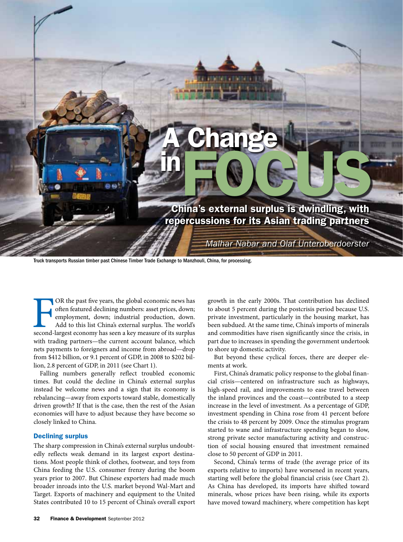

OR the past five years, the global economic news has often featured declining numbers: asset prices, down; employment, down; industrial production, down. Add to this list China's external surplus. The world's second-larges OR the past five years, the global economic news has often featured declining numbers: asset prices, down; employment, down; industrial production, down. Add to this list China's external surplus. The world's with trading partners—the current account balance, which nets payments to foreigners and income from abroad—drop from \$412 billion, or 9.1 percent of GDP, in 2008 to \$202 billion, 2.8 percent of GDP, in 2011 (see Chart 1).

Falling numbers generally reflect troubled economic times. But could the decline in China's external surplus instead be welcome news and a sign that its economy is rebalancing—away from exports toward stable, domestically driven growth? If that is the case, then the rest of the Asian economies will have to adjust because they have become so closely linked to China.

## Declining surplus

The sharp compression in China's external surplus undoubtedly reflects weak demand in its largest export destinations. Most people think of clothes, footwear, and toys from China feeding the U.S. consumer frenzy during the boom years prior to 2007. But Chinese exporters had made much broader inroads into the U.S. market beyond Wal-Mart and Target. Exports of machinery and equipment to the United States contributed 10 to 15 percent of China's overall export

growth in the early 2000s. That contribution has declined to about 5 percent during the postcrisis period because U.S. private investment, particularly in the housing market, has been subdued. At the same time, China's imports of minerals and commodities have risen significantly since the crisis, in part due to increases in spending the government undertook to shore up domestic activity.

But beyond these cyclical forces, there are deeper elements at work.

First, China's dramatic policy response to the global financial crisis—centered on infrastructure such as highways, high-speed rail, and improvements to ease travel between the inland provinces and the coast—contributed to a steep increase in the level of investment. As a percentage of GDP, investment spending in China rose from 41 percent before the crisis to 48 percent by 2009. Once the stimulus program started to wane and infrastructure spending began to slow, strong private sector manufacturing activity and construction of social housing ensured that investment remained close to 50 percent of GDP in 2011.

Second, China's terms of trade (the average price of its exports relative to imports) have worsened in recent years, starting well before the global financial crisis (see Chart 2). As China has developed, its imports have shifted toward minerals, whose prices have been rising, while its exports have moved toward machinery, where competition has kept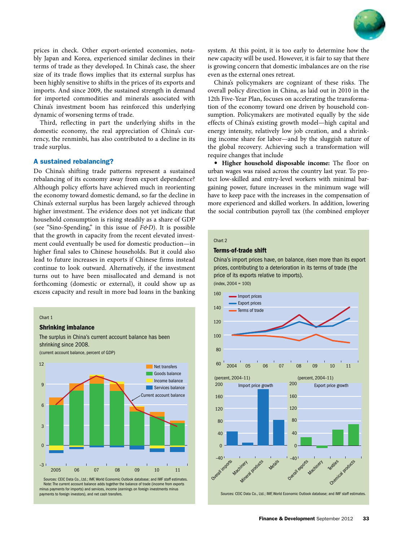

prices in check. Other export-oriented economies, notably Japan and Korea, experienced similar declines in their terms of trade as they developed. In China's case, the sheer size of its trade flows implies that its external surplus has been highly sensitive to shifts in the prices of its exports and imports. And since 2009, the sustained strength in demand for imported commodities and minerals associated with China's investment boom has reinforced this underlying dynamic of worsening terms of trade.

Third, reflecting in part the underlying shifts in the domestic economy, the real appreciation of China's currency, the renminbi, has also contributed to a decline in its trade surplus.

## A sustained rebalancing?

Do China's shifting trade patterns represent a sustained rebalancing of its economy away from export dependence? Although policy efforts have achieved much in reorienting the economy toward domestic demand, so far the decline in China's external surplus has been largely achieved through higher investment. The evidence does not yet indicate that household consumption is rising steadily as a share of GDP (see "Sino-Spending," in this issue of *F&D*). It is possible that the growth in capacity from the recent elevated investment could eventually be used for domestic production—in higher final sales to Chinese households. But it could also lead to future increases in exports if Chinese firms instead continue to look outward. Alternatively, if the investment turns out to have been misallocated and demand is not forthcoming (domestic or external), it could show up as excess capacity and result in more bad loans in the banking

#### Chart 1

### Shrinking imbalance

The surplus in China's current account balance has been shrinking since 2008. (current account balance, percent of GDP)



Sources: CEIC Data Co., Ltd.; IMF, World Economic Outlook database; and IMF staff estimates. Note: The current account balance adds together the balance of trade (income from exports minus payments for imports) and services, income (earnings on foreign investments minus payments to foreign investors), and net cash transfers.

system. At this point, it is too early to determine how the new capacity will be used. However, it is fair to say that there is growing concern that domestic imbalances are on the rise even as the external ones retreat.

China's policymakers are cognizant of these risks. The overall policy direction in China, as laid out in 2010 in the 12th Five-Year Plan, focuses on accelerating the transformation of the economy toward one driven by household consumption. Policymakers are motivated equally by the side effects of China's existing growth model—high capital and energy intensity, relatively low job creation, and a shrinking income share for labor—and by the sluggish nature of the global recovery. Achieving such a transformation will require changes that include

• **Higher household disposable income:** The floor on urban wages was raised across the country last year. To protect low-skilled and entry-level workers with minimal bargaining power, future increases in the minimum wage will have to keep pace with the increases in the compensation of more experienced and skilled workers. In addition, lowering the social contribution payroll tax (the combined employer

## Chart 2

## Terms-of-trade shift

China's import prices have, on balance, risen more than its export prices, contributing to a deterioration in its terms of trade (the price of its exports relative to imports).  $(index, 2004 = 100)$ 



Sources: CEIC Data Co., Ltd.; IMF, World Economic Outlook database; and IMF staff estimates.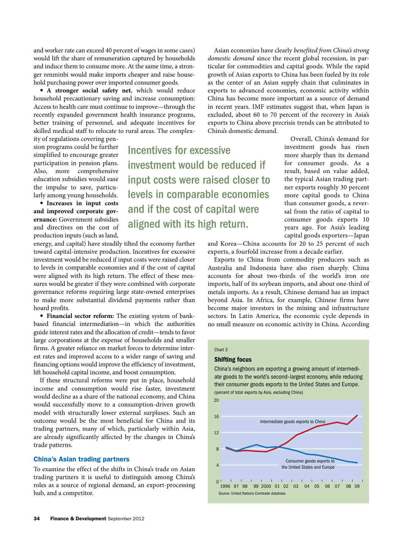and worker rate can exceed 40 percent of wages in some cases) would lift the share of remuneration captured by households and induce them to consume more. At the same time, a stronger renminbi would make imports cheaper and raise household purchasing power over imported consumer goods.

• **A stronger social safety net**, which would reduce household precautionary saving and increase consumption: Access to health care must continue to improve—through the recently expanded government health insurance programs, better training of personnel, and adequate incentives for skilled medical staff to relocate to rural areas. The complex-

ity of regulations covering pension programs could be further simplified to encourage greater participation in pension plans. Also, more comprehensive education subsidies would ease the impulse to save, particularly among young households.

• **Increases in input costs and improved corporate governance:** Government subsidies and directives on the cost of production inputs (such as land,

Incentives for excessive investment would be reduced if input costs were raised closer to levels in comparable economies and if the cost of capital were aligned with its high return.

energy, and capital) have steadily tilted the economy further toward capital-intensive production. Incentives for excessive investment would be reduced if input costs were raised closer to levels in comparable economies and if the cost of capital were aligned with its high return. The effect of these measures would be greater if they were combined with corporate governance reforms requiring large state-owned enterprises to make more substantial dividend payments rather than hoard profits.

• **Financial sector reform:** The existing system of bankbased financial intermediation—in which the authorities guide interest rates and the allocation of credit—tends to favor large corporations at the expense of households and smaller firms. A greater reliance on market forces to determine interest rates and improved access to a wider range of saving and financing options would improve the efficiency of investment, lift household capital income, and boost consumption.

If these structural reforms were put in place, household income and consumption would rise faster, investment would decline as a share of the national economy, and China would successfully move to a consumption-driven growth model with structurally lower external surpluses. Such an outcome would be the most beneficial for China and its trading partners, many of which, particularly within Asia, are already significantly affected by the changes in China's trade patterns.

# China's Asian trading partners

To examine the effect of the shifts in China's trade on Asian trading partners it is useful to distinguish among China's roles as a source of regional demand, an export-processing hub, and a competitor.

Asian economies have clearly *benefited from China's strong domestic demand* since the recent global recession, in particular for commodities and capital goods. While the rapid growth of Asian exports to China has been fueled by its role as the center of an Asian supply chain that culminates in exports to advanced economies, economic activity within China has become more important as a source of demand in recent years. IMF estimates suggest that, when Japan is excluded, about 60 to 70 percent of the recovery in Asia's exports to China above precrisis trends can be attributed to China's domestic demand.

> Overall, China's demand for investment goods has risen more sharply than its demand for consumer goods. As a result, based on value added, the typical Asian trading partner exports roughly 30 percent more capital goods to China than consumer goods, a reversal from the ratio of capital to consumer goods exports 10 years ago. For Asia's leading capital goods exporters—Japan

and Korea—China accounts for 20 to 25 percent of such exports, a fourfold increase from a decade earlier.

Exports to China from commodity producers such as Australia and Indonesia have also risen sharply. China accounts for about two-thirds of the world's iron ore imports, half of its soybean imports, and about one-third of metals imports. As a result, Chinese demand has an impact beyond Asia. In Africa, for example, Chinese firms have become major investors in the mining and infrastructure sectors. In Latin America, the economic cycle depends in no small measure on economic activity in China. According

#### Chart 3

 $20$ 

#### Shifting focus

China's neighbors are exporting a growing amount of intermediate goods to the world's second–largest economy, while reducing their consumer goods exports to the United States and Europe. (percent of total exports by Asia, excluding China)



1996 97 98 99 2000 01 02 03 04 05 06 07 08 09 Source: United Nations Comtrade database.  $0<sup>1</sup>$